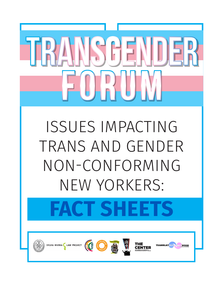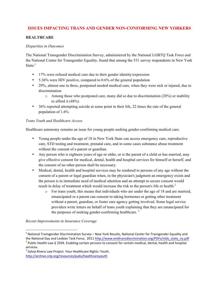# **ISSUES IMPACTING TRANS AND GENDER NON-CONFORMING NEW YORKERS**

## **HEALTHCARE**

### *Disparities in Outcomes*

The National Transgender Discrimination Survey, administered by the National LGBTQ Task Force and the National Center for Transgender Equality, found that among the 531 survey respondents in New York State:<sup>1</sup>

- 17% were refused medical care due to their gender identity/expression
- $\bullet$  5.36% were HIV positive, compared to 0.6% of the general population
- 29%, almost one in three, postponed needed medical care, when they were sick or injured, due to discrimination
	- o Among those who postponed care, many did so due to discrimination (28%) or inability to afford it (48%)
- 36% reported attempting suicide at some point in their life, 22 times the rate of the general population of 1.6%

## *Trans Youth and Healthcare Access*

Healthcare autonomy remains an issue for young people seeking gender-confirming medical care.

- Young people under the age of 18 in New York State can access emergency care, reproductive care, STD testing and treatment, prenatal care, and in some cases substance abuse treatment without the consent of a parent or guardian.
- Any person who is eighteen years of age or older, or is the parent of a child or has married, may give effective consent for medical, dental, health and hospital services for himself or herself, and the consent of no other person shall be necessary.
- Medical, dental, health and hospital services may be rendered to persons of any age without the consent of a parent or legal guardian when, in the physician's judgment an emergency exists and the person is in immediate need of medical attention and an attempt to secure consent would result in delay of treatment which would increase the risk to the person's life or health.<sup>2</sup>
	- o For trans youth, this means that individuals who are under the age of 18 and are married, emancipated or a parent can consent to taking hormones or getting other treatment without a parent, guardian, or foster care agency getting involved. Some legal service providers write letters on behalf of trans youth explaining that they are emancipated for the purposes of seeking gender-confirming healthcare.<sup>3</sup>

*Recent Improvements in Insurance Coverage*

 

<sup>&</sup>lt;sup>1</sup> National Transgender Discrimination Survey – New York Results, National Center for Transgender Equality and

the National Gay and Lesbian Task Force, 2011 http://www.endtransdiscrimination.org/PDFs/ntds\_state\_ny.pdf <sup>2</sup> Public Health Law § 2504. Enabling certain persons to consent for certain medical, dental, health and hospital services.

 $3$  Sylvia Rivera Law Project. Your Healthcare Rights: Youth. http://archive.srlp.org/resources/pubs/healthcareyouth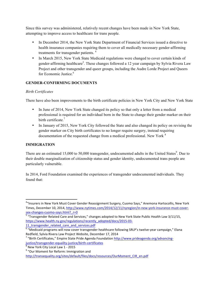Since this survey was administered, relatively recent changes have been made in New York State, attempting to improve access to healthcare for trans people.

- In December 2014, the New York State Department of Financial Services issued a directive to health insurance companies requiring them to cover all medically necessary gender-affirming treatments for transgender patients. <sup>4</sup>
- In March 2015, New York State Medicaid regulations were changed to cover certain kinds of gender-affirming healthcare<sup>5</sup>. These changes followed a 12 year campaign by Sylvia Rivera Law Project and other transgender and queer groups, including the Audre Lorde Project and Queers for Economic Justice.<sup>6</sup>

# **GENDER-CONFIRMING DOCUMENTS**

## *Birth Certificates*

There have also been improvements to the birth certificate policies in New York City and New York State

- In June of 2014, New York State changed its policy so that only a letter from a medical professional is required for an individual born in the State to change their gender marker on their birth certificate.<sup>7</sup>
- In January of 2015, New York City followed the State and also changed its policy on revising the gender marker on City birth certificates to no longer require surgery, instead requiring documentation of the requested change from a medical professional. New York <sup>8</sup>

# **IMMIGRATION**

There are an estimated  $15,000$  to  $50,000$  transgender, undocumented adults in the United States<sup>9</sup>. Due to their double marginalization of citizenship status and gender identity, undocumented trans people are particularly vulnerable.

In 2014, Ford Foundation examined the experiences of transgender undocumented individuals. They found that:

11 transgender related care and services.pdf

 

<sup>&</sup>lt;sup>4</sup>"Insurers in New York Must Cover Gender Reassignment Surgery, Cuomo Says," Anemona Hartocollis, New York Times, December 10, 2014, http://www.nytimes.com/2014/12/11/nyregion/in-new-york-insurance-must-coversex-changes-cuomo-says.html?\_r=0<br><sup>5</sup> "Transgender Related Care and Services," changes adopted to New York State Public Health Law 3/11/15,

https://www.health.ny.gov/regulations/recently\_adopted/docs/2015-03-

Engineer Community of the Cover transgender healthcare following SRLP's twelve-year campaign," Elana

Redfield, Sylvia Rivera Law Project Website, December 17, 2014<br><sup>7</sup> "Birth Certificates," Empire State Pride Agenda Foundation http://www.prideagenda.org/advancing-<br>justice/transgender-equality-justice/birth-certificates

 $\degree$  New York City Local Law 1 - 2015<br> $\degree$  "Our Moment for Reform: Immigration and http://transequality.org/sites/default/files/docs/resources/OurMoment\_CIR\_en.pdf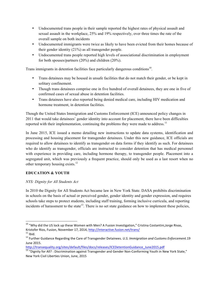- Undocumented trans people in their sample reported the highest rates of physical assault and sexual assault in the workplace, 25% and 19% respectively, over three times the rate of the overall sample on both incidents
- Undocumented immigrants were twice as likely to have been evicted from their homes because of their gender identity (21%) as all transgender people.
- Undocumented trans people reported high levels of associational discrimination in employment for both spouses/partners (20%) and children (20%).

Trans immigrants in detention facilities face particularly dangerous conditions<sup>10</sup>.

- Trans detainees may be housed in unsafe facilities that do not match their gender, or be kept in solitary confinement.
- Though trans detainees comprise one in five hundred of overall detainees, they are one in five of confirmed cases of sexual abuse in detention facilities.
- Trans detainees have also reported being denied medical care, including HIV medication and hormone treatment, in detention facilities.

Though the United States Immigration and Customs Enforcement (ICE) announced policy changes in 2011 that would take detainees' gender identity into account for placement, there have been difficulties reported with their implementation, continuing the problems they were made to address.<sup>11</sup>

In June 2015, ICE issued a memo detailing new instructions to update data systems, identification and processing and housing placement for transgender detainees. Under this new guidance, ICE officials are required to allow detainees to identify as transgender on data forms if they identify as such. For detainees who do identify as transgender, officials are instructed to consider detention that has medical personnel with experience in providing care, including hormone therapy, to transgender people. Placement into a segregated unit, which was previously a frequent practice, should only be used as a last resort when no other temporary housing exists.<sup>12</sup>

# **EDUCATION & YOUTH**

# *NYS: Dignity for All Students Act*

<u> 1989 - Johann Stein, markin film yn y breninn y breninn y breninn y breninn y breninn y breninn y breninn y b</u>

In 2010 the Dignity for All Students Act became law in New York State. DASA prohibits discrimination in schools on the basis of actual or perceived gender, gender identity and gender expression, and requires schools take steps to protect students, including staff training, forming inclusive curricula, and reporting incidents of harassment to the state<sup>13</sup>. There is no set state guidance on how to implement these policies,

http://transequality.org/sites/default/files/docs/releases/ICEDetentionGuidance\_June2015.pdf

<sup>&</sup>lt;sup>10</sup> "Why did the US lock up these Women with Men? A Fusion Investigation," Cristina Costantini,Jorge Rivas, Kristofer Rios, Fusion, November 17, 2014, http://interactive.fusion.net/trans/<br><sup>11</sup> Ibid. 11<br><sup>12</sup> Further Guidance Regarding the Care of Transgender Detainees. *U.S. Immigration and Customs Enforcement.*19

June 2015.

<sup>13 &</sup>quot;Dignity for All? : Discrimination against Transgender and Gender Non-Conforming Youth in New York State," New York Civil Liberties Union, June, 2015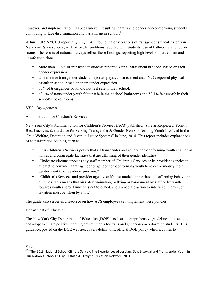however, and implementation has been uneven, resulting in trans and gender non-conforming students continuing to face discrimination and harassment in schools $^{14}$ .

A June 2015 NYCLU report *Dignity for All?* found major violations of transgender students' rights in New York State schools, with particular problems reported with students' use of bathrooms and locker rooms. The results of national surveys reflect these findings, reporting high levels of harassment and unsafe conditions.

- More than 73.6% of transgender students reported verbal harassment in school based on their gender expression.
- One in three transgender students reported physical harassment and 16.2% reported physical assault in school based on their gender expression.<sup>15</sup>
- 75% of transgender youth did not feel safe in their school.
- 63.4% of transgender youth felt unsafe in their school bathrooms and 52.1% felt unsafe in their school's locker rooms.

# *NYC: City Agencies*

## Administration for Children's Services

New York City's Administration for Children's Services (ACS) published "Safe & Respected: Policy, Best Practices, & Guidance for Serving Transgender & Gender Non-Conforming Youth Involved in the Child Welfare, Detention and Juvenile Justice Systems" in June, 2014. This report includes explanations of administration policies, such as:

- "It is Children's Services policy that all transgender and gender non-conforming youth shall be in homes and congregate facilities that are affirming of their gender identities."
- "Under no circumstances is any staff member of Children's Services or its provider agencies to attempt to convince a transgender or gender non-conforming youth to reject or modify their gender identity or gender expression."
- "Children's Services and provider agency staff must model appropriate and affirming behavior at all times. This means that bias, discrimination, bullying or harassment by staff or by youth towards youth and/or families is not tolerated, and immediate action to intervene in any such situation must be taken by staff."

The guide also serves as a resource on how ACS employees can implement these policies.

## Department of Education

The New York City Department of Education (DOE) has issued comprehensive guidelines that schools can adopt to create positive learning environments for trans and gender-non-conforming students. This guidance, posted on the DOE website, covers definitions, official DOE policy when it comes to

<sup>&</sup>lt;u> 1989 - Johann Stein, markin film yn y breninn y breninn y breninn y breninn y breninn y breninn y breninn y b</u>

<sup>&</sup>lt;sup>14</sup> Ibid.<br><sup>15</sup> "The 2013 National School Climate Survey: The Experiences of Lesbian, Gay, Bisexual and Transgender Youth in Our Nation's Schools," Gay, Lesbian & Straight Education Network, 2014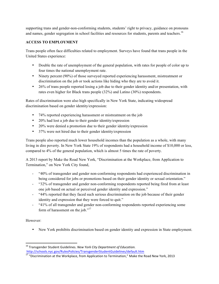supporting trans and gender-non-conforming students, students' right to privacy, guidance on pronouns and names, gender segregation in school facilities and resources for students, parents and teachers.<sup>16</sup>

# **ACCESS TO EMPLOYMENT**

Trans people often face difficulties related to employment. Surveys have found that trans people in the United States experience:

- Double the rate of unemployment of the general population, with rates for people of color up to four times the national unemployment rate.
- Ninety percent (90%) of those surveyed reported experiencing harassment, mistreatment or discrimination on the job or took actions like hiding who they are to avoid it.
- 26% of trans people reported losing a job due to their gender identity and/or presentation, with rates even higher for Black trans people (32%) and Latino (30%) respondents.

Rates of discrimination were also high specifically in New York State, indicating widespread discrimination based on gender identity/expression:

- 74% reported experiencing harassment or mistreatment on the job
- 20% had lost a job due to their gender identity/expression
- 20% were denied a promotion due to their gender identity/expression
- 37% were not hired due to their gender identity/expression

Trans people also reported much lower household incomes than the population as a whole, with many living in dire poverty. In New York State 19% of respondents had a household income of \$10,000 or less, compared to 4% of the general population, which is almost 5 times the rate of poverty.

A 2013 report by Make the Road New York, "Discrimination at the Workplace, from Application to Termination," on New York City found,

- "40% of transgender and gender non-conforming respondents had experienced discrimination in being considered for jobs or promotions based on their gender identity or sexual orientation."
- "32% of transgender and gender non-conforming respondents reported being fired from at least one job based on actual or perceived gender identity and expression."
- "44% reported that they faced such serious discrimination on the job because of their gender identity and expression that they were forced to quit."
- "41% of all transgender and gender non-conforming respondents reported experiencing some form of harassment on the job."<sup>17</sup>

However:

<u> 1989 - Johann Stein, markin film yn y breninn y breninn y breninn y breninn y breninn y breninn y breninn y b</u>

• New York prohibits discrimination based on gender identity and expression in State employment.

<sup>&</sup>lt;sup>16</sup> Transgender Student Guidelines. New York City Department of Education. http://schools.nyc.gov/RulesPolicies/TransgenderStudentGuidelines/default.htm

 $^{17}$  "Discrimination at the Workplace, from Application to Termination," Make the Road New York, 2013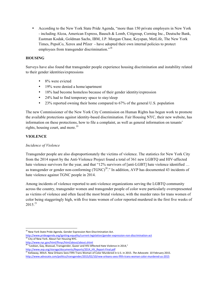• According to the New York State Pride Agenda, "more than 150 private employers in New York - including Alcoa, American Express, Bausch & Lomb, Citigroup, Corning Inc., Deutsche Bank, Eastman Kodak, Goldman Sachs, IBM, J.P. Morgan Chase, Keyspan, MetLife, The New York Times, PepsiCo, Xerox and Pfizer - have adopted their own internal policies to protect employees from transgender discrimination."<sup>18</sup>

## **HOUSING**

Surveys have also found that transgender people experience housing discrimination and instability related to their gender identities/expressions

- 8% were evicted
- 19% were denied a home/apartment
- 18% had become homeless because of their gender identity/expression
- 24% had to find temporary space to stay/sleep
- 23% reported owning their home compared to 67% of the general U.S. population

The new Commissioner of the New York City Commission on Human Rights has begun work to promote the available protections against identity-based discrimination. Fair Housing NYC, their new website, has information on these protections, how to file a complaint, as well as general information on tenants' rights, housing court, and more.<sup>19</sup>

## **VIOLENCE**

## *Incidence of Violence*

Transgender people are also disproportionately the victims of violence. The statistics for New York City from the 2014 report by the Anti-Violence Project found a total of 361 new LGBTQ and HIV-affected hate violence survivors for the year, and that "12% survivors of [anti-LGBT] hate violence identified ... as transgender or gender non-conforming  $(TGNC)^{20}$ ." In addition, AVP has documented 43 incidents of hate violence against TGNC people in 2014.

Among incidents of violence reported to anti-violence organizations serving the LGBTQ community across the country, transgender women and transgender people of color were particularly overrepresented as victims of violence and often faced the most brutal violence, with the murder rates for trans women of color being staggeringly high, with five trans women of color reported murdered in the first five weeks of  $2015.<sup>21</sup>$ 

<u> 1989 - Johann Stein, markin film yn y breninn y breninn y breninn y breninn y breninn y breninn y breninn y b</u>

<sup>&</sup>lt;sup>18</sup> New York State Pride Agenda. Gender Expression Non-Discrimination Act.

http://www.prideagenda.org/igniting-equality/current-legislation/gender-expression-non-discrimination-act

City of New York. About Fair Housing NYC.

http://www.nyc.gov/html/fhnyc/html/about/about.shtml<br><sup>20</sup> "Lesbian, Gay, Bisexual, Transgender, Queer and HIV-Affected Hate Violence in 2014,"

http://www.avp.org/storage/documents/Reports/2014\_HV\_Report-Final.pdf

<sup>&</sup>lt;sup>21</sup> Kellaway, Mitch. New Orleans Sees Fifth Trans Woman of Color Murdered in U.S. in 2015. *The Advocate.* 10 February 2015. http://www.advocate.com/politics/transgender/2015/02/10/new-orleans-sees-fifth-trans-woman-color-murdered-us-2015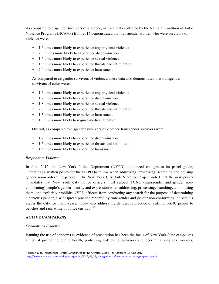As compared to cisgender survivors of violence, national data collected by the National Coalition of Anti-Violence Programs (NCAVP) from 2014 demonstrated that transgender women who were survivors of violence were:

- 1.6 times more likely to experience any physical violence
- 2 .9 times more likely to experience discrimination
- 1.6 times more likely to experience sexual violence
- 1.9 times more likely to experience threats and intimidation
- 2.4 times more likely to experience harassment

As compared to cisgender survivors of violence, these data also demonstrated that transgender survivors of color were:

- 1.6 times more likely to experience any physical violence
- 1.7 times more likely to experience discrimination
- 1.8 times more likely to experience sexual violence
- 2.0 times more likely to experience threats and intimidation
- 1.5 times more likely to experience harassment
- 1.9 times more likely to require medical attention

Overall, as compared to cisgender survivors of violence transgender survivors were:

- 1.7 times more likely to experience discrimination
- 1.5 times more likely to experience threats and intimidation
- 1.5 times more likely to experience harassment

#### *Response to Violence*

In June 2012, the New York Police Department (NYPD) announced changes to its patrol guide, "[creating] a written policy for the NYPD to follow when addressing, processing, searching and housing gender non-conforming people." The New York City Anti Violence Project noted that the new policy "mandates that New York City Police officers must respect TGNC (transgender and gender nonconforming) people's gender identity and expression when addressing, processing, searching, and housing them, and explicitly prohibits NYPD officers from conducting any search for the purpose of determining a person's gender, a widespread practice reported by transgender and gender non-conforming individuals across the City for many years. They also address the dangerous practice of cuffing TGNC people to benches and rails while in police custody."<sup>22</sup>

#### **ACTIVE CAMPAIGNS**

<u> 1989 - Johann Stein, markin film yn y breninn y breninn y breninn y breninn y breninn y breninn y breninn y b</u>

#### *Condoms as Evidence*

Banning the use of condoms as evidence of prostitution has been the focus of New York State campaigns aimed at promoting public health, protecting trafficking survivors and decriminalizing sex workers,

<sup>&</sup>lt;sup>22</sup> Bolger, Julie. Transgender Reforms Announced for NYPD Patrol Guide. *The Advocate.* 13 June 2012. http://www.advocate.com/politics/transgender/2012/06/13/transgender-reforms-announced-nypd-patrol-guide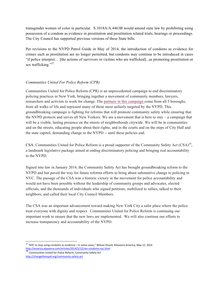transgender women of color in particular. S.1018A/A.4463B would amend state law by prohibiting using possession of a condom as evidence in prostitution and prostitution related trials, hearings or proceedings. The City Council has supported previous versions of these State bills.

Per revisions to the NYPD Patrol Guide in May of 2014, the introduction of condoms as evidence for crimes such as prostitution are no longer permitted, but condoms may continue to be introduced in cases "if police interpret… [the actions of survivors or victims who are trafficked]...as promoting prostitution or sex trafficking."<sup>23</sup>

### *Communities United For Police Reform (CPR)*

Communities United for Police Reform (CPR) is an unprecedented campaign to end discriminatory policing practices in New York, bringing together a movement of community members, lawyers, researchers and activists to work for change. The partners in this campaign come from all 5 boroughs, from all walks of life and represent many of those most unfairly targeted by the NYPD. This groundbreaking campaign is fighting for reforms that will promote community safety while ensuring that the NYPD protects and serves all New Yorkers. We are a movement that is here to stay – a campaign that will be a visible, lasting presence on the streets of neighborhoods citywide. We will be in communities and on the streets, educating people about their rights; and in the courts and on the steps of City Hall and the state capitol, demanding change to the NYPD -- until these policies end.

CSA: Communities United for Police Reform is a proud supporter of the Community Safety Act  $(CSA)^{24}$ , a landmark legislative package aimed at ending discriminatory policing and bringing real accountability to the NYPD.

Signed into law in January 2014, the Community Safety Act has brought groundbreaking reform to the NYPD and has paved the way for future reforms efforts to bring about substantive change to policing in NYC. The passage of the CSA was a historic victory in the movement for police accountability and would not have been possible without the leadership of community groups and advocates, elected officials, and the thousands of individuals who signed petitions, mobilized to rallies, talked to their neighbors, and called their local City Council Members.

The CSA was an important advancement toward making New York City a safer place where the police treat everyone with dignity and respect. Communities United for Police Reform is continuing our important work to ensure that the new laws are implemented. We will also continue our efforts to increase transparency and accountability of the NYPD.

<u> 1989 - Johann Stein, markin film yn y breninn y breninn y breninn y breninn y breninn y breninn y breninn y b</u>

 $^{23}$  "NYC to stop using condoms as evidence – in some cases," Wilson Dizard, AlJazeera America, May 12, 2014 http://america.aljazeera.com/articles/2014/5/12/sex-condoms-nyc.html<br>
<sup>24</sup> Communities United for Police Reform, Community Safety Act

http://changethenypd.org/community-safety-act